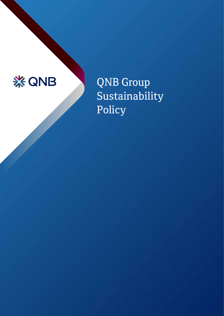

QNB Group Sustainability Policy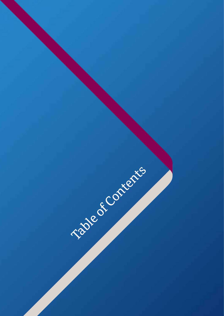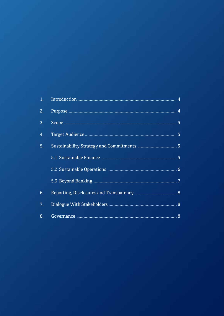| 2. |  |
|----|--|
| 3. |  |
| 4. |  |
| 5. |  |
|    |  |
|    |  |
|    |  |
| 6. |  |
| 7. |  |
| 8. |  |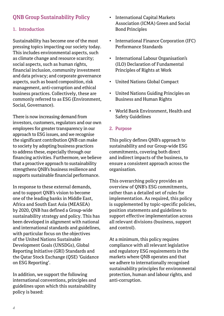# QNB Group Sustainability Policy

### 1. Introduction

Sustainability has become one of the most pressing topics impacting our society today. This includes environmental aspects, such as climate change and resource scarcity; social aspects, such as human rights, financial inclusion, community investment and data privacy; and corporate governance aspects, such as board composition, risk management, anti-corruption and ethical business practices. Collectively, these are commonly referred to as ESG (Environment, Social, Governance).

There is now increasing demand from investors, customers, regulators and our own employees for greater transparency in our approach to ESG issues, and we recognise the significant contribution QNB can make to society by adopting business practices to address these, especially through our financing activities. Furthermore, we believe that a proactive approach to sustainability strengthens QNB's business resilience and supports sustainable financial performance.

In response to these external demands, and to support QNB's vision to become one of the leading banks in Middle East, Africa and South East Asia (MEASEA) by 2020, QNB has defined a Group-wide sustainability strategy and policy. This has been developed in alignment with national and international standards and guidelines, with particular focus on the objectives of the United Nations Sustainable Development Goals (UNSDGs), Global Reporting Initiative (GRI) Standards and the Qatar Stock Exchange (QSE) 'Guidance on ESG Reporting'.

In addition, we support the following international conventions, principles and guidelines upon which this sustainability policy is based:

- International Capital Markets Association (ICMA) Green and Social Bond Principles
- International Finance Corporation (IFC) Performance Standards
- International Labour Organisation's (ILO) Declaration of Fundamental Principles of Rights at Work
- United Nations Global Compact
- United Nations Guiding Principles on Business and Human Rights
- World Bank Environment, Health and Safety Guidelines

### 2. Purpose

This policy defines QNB's approach to sustainability and our Group-wide ESG commitments, covering both direct and indirect impacts of the business, to ensure a consistent approach across the organisation.

This overarching policy provides an overview of QNB's ESG commitments, rather than a detailed set of rules for implementation. As required, this policy is supplemented by topic-specific policies, position statements and guidelines to support effective implementation across all relevant divisions (business, support and control).

At a minimum, this policy requires compliance with all relevant legislative and regulatory ESG requirements in the markets where QNB operates and that we adhere to internationally recognised sustainability principles for environmental protection, human and labour rights, and anti-corruption.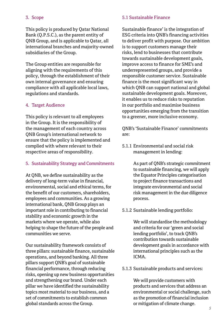### 3. Scope

This policy is produced by Qatar National Bank (Q.P.S.C.), as the parent entity of QNB Group, and is applicable to Qatar, all international branches and majority-owned subsidiaries of the Group.

The Group entities are responsible for aligning with the requirements of this policy, through the establishment of their own internal governance and ensuring compliance with all applicable local laws, regulations and standards.

### 4. Target Audience

This policy is relevant to all employees in the Group. It is the responsibility of the management of each country across QNB Group's international network to ensure that the policy is implemented and complied with where relevant to their respective areas of responsibility.

#### 5. Sustainability Strategy and Commitments

At QNB, we define sustainability as the delivery of long-term value in financial, environmental, social and ethical terms, for the benefit of our customers, shareholders, employees and communities. As a growing international bank, QNB Group plays an important role in contributing to financial stability and economic growth in the markets where we operate, while also helping to shape the future of the people and communities we serve.

Our sustainability framework consists of three pillars: sustainable finance, sustainable operations, and beyond banking. All three pillars support QNB's goal of sustainable financial performance, through reducing risks, opening up new business opportunities and strengthening our brand. Under each pillar we have identified the sustainability topics most material to our business, and a set of commitments to establish common global standards across the Group.

### 5.1 Sustainable Finance

Sustainable finance' is the integration of ESG criteria into QNB's financing activities to deliver profit with purpose. Our ambition is to support customers manage their risks, lend to businesses that contribute towards sustainable development goals, improve access to finance for SME's and underrepresented groups, and provide a responsible customer service. Sustainable finance is the most significant way in which QNB can support national and global sustainable development goals. Moreover, it enables us to reduce risks to reputation in our portfolio and maximise business opportunities emerging from the transition to a greener, more inclusive economy.

QNB's 'Sustainable Finance' commitments are:

5.1.1 Environmental and social risk management in lending:

> As part of QNB's strategic commitment to sustainable financing, we will apply the Equator Principles categorisation to project finance transactions and integrate environmental and social risk management in the due diligence process.

5.1.2 Sustainable lending portfolio:

 We will standardise the methodology and criteria for our 'green and social lending portfolio', to track QNB's contribution towards sustainable development goals in accordance with international principles such as the ICMA.

5.1.3 Sustainable products and services:

 We will provide customers with products and services that address an environmental or social challenge, such as the promotion of financial inclusion or mitigation of climate change.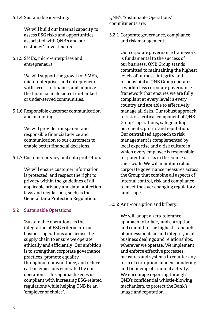#### 5.1.4 Sustainable investing:

 We will build our internal capacity to assess ESG risks and opportunities associated with QNB's and our customer's investments.

#### 5.1.5 SME's, micro-enterprises and entrepreneurs:

 We will support the growth of SME's, micro-enterprises and entrepreneurs with access to finance, and improve the financial inclusion of un-banked or under-served communities.

5.1.6 Responsible customer communication and marketing:

> We will provide transparent and responsible financial advice and communication to our customers to enable better financial decisions.

5.1.7 Customer privacy and data protection:

We will ensure customer information is protected, and respect the right to privacy within the guidelines of all applicable privacy and data protection laws and regulations, such as the General Data Protection Regulation.

### 5.2 Sustainable Operations

 'Sustainable operations' is the integration of ESG criteria into our business operations and across the supply chain to ensure we operate ethically and efficiently. Our ambition is to strengthen corporate governance practices, promote equality throughout our workforce, and reduce carbon emissions generated by our operations. This approach keeps us compliant with increasing ESG-related regulations while helping QNB be an 'employer of choice'.

QNB's 'Sustainable Operations' commitments are:

5.2.1 Corporate governance, compliance and risk management:

> Our corporate governance framework is fundamental to the success of our business. QNB Group stands committed to maintaining the highest levels of fairness, integrity and responsibility. QNB Group operates a world-class corporate governance framework that ensures we are fully compliant at every level in every country and are able to effectively manage all risks. Our robust approach to risk is a critical component of QNB Group's operations, safeguarding our clients, profits and reputation. Our centralised approach to risk management is complemented by local expertise and a risk culture in which every employee is responsible for potential risks in the course of their work. We will maintain robust corporate governance measures across the Group that combine all aspects of internal control, risk and compliance, to meet the ever changing regulatory landscape.

#### 5.2.2 Anti-corruption and bribery:

 We will adopt a zero-tolerance approach to bribery and corruption and commit to the highest standards of professionalism and integrity in all business dealings and relationships, wherever we operate. We implement and enforce effective processes, measures and systems to counter any form of corruption, money laundering and financing of criminal activity. We encourage reporting through QNB's confidential whistle-blowing mechanism, to protect the Bank's image and reputation.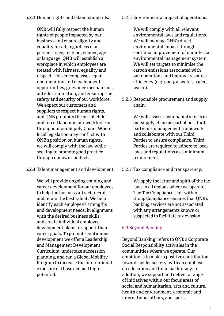# 5.2.3 Human rights and labour standards:

 QNB will fully respect the human rights of people impacted by our business and ensure dignity and equality for all, regardless of a persons' race, religion, gender, age or language. QNB will establish a workplace in which employees are treated with fairness, equality and respect. This encompasses equal remuneration and development opportunities, grievance mechanisms, anti-discrimination, and ensuring the safety and security of our workforce. We expect our customers and suppliers to respect human rights, and QNB prohibits the use of child and forced labour in our workforce or throughout our Supply Chain. Where local legislation may conflict with QNB's position on human rights, we will comply with the law while seeking to promote good practice through our own conduct.

# 5.2.4 Talent management and development:

 We will provide ongoing training and career development for our employees to help the business attract, recruit and retain the best talent. We help identify each employee's strengths and development needs, in alignment with the desired business skills, and create individual employee development plans to support their career goals. To promote continuous development we offer a Leadership and Management Development Curriculum, undertake succession planning, and run a Global Mobility Program to increase the international exposure of those deemed highpotential.

# 5.2.5 Environmental impact of operations:

 We will comply with all relevant environmental laws and regulations. We will manage QNB's direct environmental impact through continual improvement of our internal environmental management system. We will set targets to minimise the carbon emissions associated with our operations and improve resource efficiency (e.g. energy, water, paper, waste).

5.2.6 Responsible procurement and supply chain:

> We will assess sustainability risks in our supply chain as part of our third party risk management framework and collaborate with our Third Parties to ensure compliance. Third Parties are required to adhere to local laws and regulations as a minimum requirement.

5.2.7 Tax compliance and transparency:

 We apply the letter and spirit of the tax laws in all regions where we operate. The Tax Compliance Unit within Group Compliance ensures that QNB's banking services are not associated with any arrangements known or suspected to facilitate tax evasion.

# 5.3 Beyond Banking

Beyond Banking' refers to QNB's Corporate Social Responsibility activities in the communities where we operate. Our ambition is to make a positive contribution towards wider society, with an emphasis on education and financial literacy. In addition, we support and deliver a range of initiatives within our focus areas of social and humanitarian, arts and culture, health and environment, economic and international affairs, and sport.